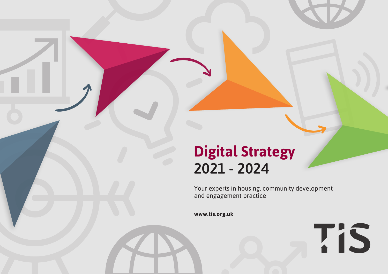## **Digital Strategy** 2021 - 2024

Your experts in housing, community development and engagement practice

**TIS** 

**www.tis.org.uk**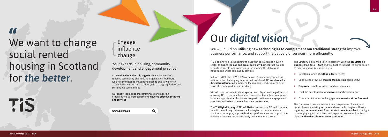# u<br>We want to change social rented housing in Scotland for *the better*.

#### Your experts in housing, community development and engagement practice

As a **national membership organisation**, with over 200 tenants, community and housing organisation Members, we are committed to influencing change and strive for an active, inclusive, and just Scotland, with strong, equitable, and sustainable communities.

### Engage influence change {

Our expert team support communities and housing organisations to work together to **develop effective solutions and services**.

**www.tis.org.uk**



TIS

We will build on **utilising new technologies to complement our traditional strengths** improve business performance, and support the delivery of services more efficiently.

TIS is committed to supporting the Scottish social rented housing sector to **bridge the gap and break down any barriers** that exclude tenants, residents, and communities in shaping the delivery of housing and wider community services.

In March 2020, the COVID-19 (coronavirus) pandemic gripped the nation. In the challenging months that lay ahead, TIS **accelerated a digital transformation**, embraced technologies, and explored new ways of remote partnership working.

Virtual tools become firmly integrated and played an integral part in allowing TIS to continue business, create effective solutions at pace, broaden opportunities for innovative participation and engagement practices, and extend the reach of our core services.

The **TIS Digital Strategy 2021 – 2024** focuses on how TIS will continue to build on utilising these new technologies to complement our traditional strengths, improve business performance, and support the delivery of services more efficiently and with more choice.

The Strategy is designed to sit in harmony with the **TIS Strategic Business Plan 2019 – 2022** and will further support the organisation to achieve its five key priorities, to:

The framework sets out an ambitious programme of work, and details how our existing services and new technologies will work together, **the commitment from our staff team to evolve** in the light of emerging digital initiatives, and explores how we will embed digital **within the culture of our organisation**.

- Develop a range of **cutting-edge** services; **+**
- Continue to grow our **thriving Membership** community; **+**
- **Empower** tenants, residents, and communities; **+**
- Lead the development of **innovative** participation; and **+**
- Ensure participation and engagement **remains at the forefront**. **+**

## Our *digital vision*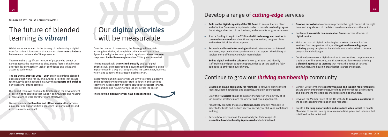Whilst we move forward in the journey of undertaking a digital transformation, it is essential that we must also **create a balance** between our online and offline presences.

There remains a significant number of people who do not or cannot access the internet due challenging factors that include affordability; connectivity; lack of confidence and skills; and access to technology.

The **TIS Digital Strategy 2021 – 2024** outlines a unique blended approach that works for TIS and outlines priorities that ensure technology is being adopted in a way that **supports and enriches** our traditional offline services.

Our expert team will continue to trail blaze in the development of cutting-edge solutions that support communities and housing organisations to work together more effectively.

We will embrace **both online and offline services** that provide equal learning opportunities; encourage full participation; and deliver maximum impact.

### The future of blended learning *is vibrant*

Over the course of three-years, the Strategy will maintain a strong foundation, although it is critical to recognise that dynamics in digital technology shift rapidly and **these concrete steps must be flexible enough** to allow TIS to pivot as needed.

The framework will be **revisited annually** and our digital priorities will be measurable to ensure that technology is being implemented in a way that supports the TIS core values, business vision, and supports the Strategic Business Plan.

In delivering our digital priorities we strive to create a positive and motivated environment for staff to flourish and continue their work in developing effective solutions to support tenants, communities, and housing organisations across the sector.

**The following digital priorities have been identified**.

# Our *digital priorities* will be measurable {

**[** EMBRACING BOTH ONLINE & OFFLINE SERVICES **]**

- **• Develop an online community for Members** to network, bring content **+** together, share knowledge and expertise, and gain peer support.
- Grow the **TIS Digital Toolkit** to support Members in the delivery of fit-**+** for-purpose, strategic plans for long-term digital engagement.
- Proactively promote the role of **Digital Leader** amongst Members in **+** order to facilitate and nurture peer-to-peer digital skills and confidence building.
- Review how we can make the most of digital technologies to **+ streamline how Membership is processed** and administered.

**• Build on the digital capacity of the TIS Board** to ensure there is clear and effective Governance in place in order to provide leadership, agree the strategic direction of the business, and ensure its long-term success.

- Source funding to equip the TIS Board **with technology and devices to + communicate virtually** and continue key discussions, progress plans, and make critical decisions at pace.
- Research and **invest in technologies** that will streamline our internal processes, improve business performance, and support the delivery of services more efficiently and with more choice.
- **• Embed digital within the culture** of the organisation and identify staff training and peer support opportunities to ensure staff are fully equipped to embrace new software.

- Consult with Members to **identify training and support requirements** to ensure our Member gatherings, briefings and workshops are inclusive and explore the most topical challenges and opportunities. **+**
- Develop the Member area of the TIS website to **provide a catalogue** of **+** the sector's leading information and resources.
- Create **e-learning opportunities and introduce video format** to enable Members to access training resources at a time, pace, and location that is tailored to the individual. **+**
- **• Develop our website** to ensure we provide the right content at the right time, and stay abreast of the latest developments across the sector. **+**
- Implement **accessible communication formats** across all areas of digital service. **+**
- Make the most of digital technologies to extend the reach of our **+** services, form key partnerships, and t**arget hard to reach groups including**: young people and individuals who are faced with remote geographical challenges.
- Continually review our digital services to ensure they complement our traditional offline solutions, and that we transition towards offering a **blended approach to learning** that meets the needs of tenants, communities, and housing organisations across the sector. **+**

### Develop a range of *cutting-edge* services

### Continue to grow our *thriving membership* community

**+**

**+**

**+**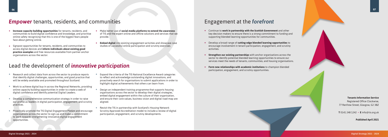- Research and collect data from across the sector to produce reports **+** that identify digital challenges, opportunities, and good practice that will be widely available and promoted throughout Scotland.
- Work to achieve digital buy-in across the Regional Networks, providing online capacity building opportunities in order to create a web of digital confidence and identify potential Digital Leaders. **+**
- Develop a comprehensive communication strategy in order to raise our profile as leaders in digital participation, engagement, and scrutiny practices. **+**
- Proactively promote the TIS Digital Engagement Pledge and encourage **+** organisations across the sector to sign-up and make a commitment to work towards strengthening innovative digital engagement opportunities.
- Expand the criteria of the TIS National Excellence Award categories to reflect and acknowledge outstanding digital innovations, and proactively search for organisations to submit applications in order to highlight digital achievements that others can learn from. **+**
- Design an independent training programme that supports housing organisations across the sector to develop their digital strategies, embed digital engagement within the culture of their organisation, and ensure their core values, business vision and digital road-map are aligned. **+**
- Revisit the TIS in partnership with Scotland's Housing Network **+** Scrutiny Approved Accreditation model to include a review of digital participation, engagement, and scrutiny developments.
- **• Increase capacity building opportunities** for tenants, residents, and communities to build digital confidence and knowledge, and prioritise online safety recognising that this is one of the biggest fears people face about getting online. **+**
- Signpost opportunities for tenants, residents, and communities to access digital devices and **inform individuals about existing good practice examples** and free resources available from partner anchor organisations across the sector. **+**
- Make better use of **social media platforms to extend the awareness +** of TIS and the expert online and offline solutions and services that we provide.
- **• Embed digital** into existing engagement activities and showcase case **+** studies of successful online participation and scrutiny exercises.

### *Empower* tenants, residents, and communities

### Lead the development of *innovative participation*

• Continue to **work in partnership with the Scottish Government** and other key decision makers to ensure there is a strong commitment to funding and supporting blended learning opportunities for communities.

• Develop a broad range of **cutting-edge blended learning opportunities** to **+** encourage involvement in tenant participation, engagement, and scrutiny activities.

**• Strengthen our existing partnerships** with anchor organisations across the **+** sector to identify potential blended learning opportunities to ensure our services meet the needs of tenants, communities, and housing organisations.

**• Form new relationships with academic institutions** to champion blended **+** participation, engagement, and scrutiny opportunities.

### Engagement at the *forefront*

**Tenants Information Service**

Registered Office Clockwise, 77 Renfrew Street, Glasgow, G2 3BZ

**T** 0141 248 1242 • **E** info@tis.org.uk

**Published April 2021**

**+**